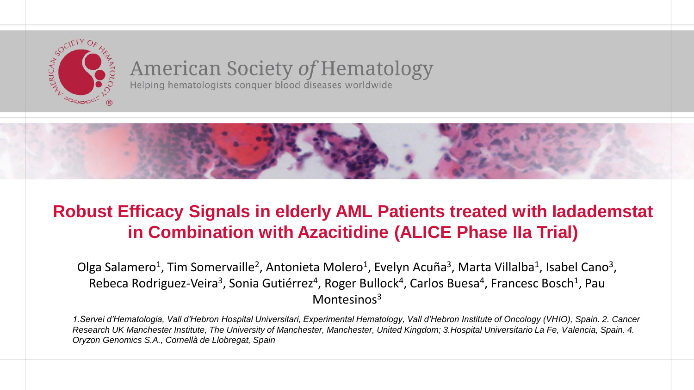

#### **American Society of Hematology** Helping hematologists conquer blood diseases worldwide



## **Robust Efficacy Signals in elderly AML Patients treated with Iadademstat in Combination with Azacitidine (ALICE Phase IIa Trial)**

Olga Salamero<sup>1</sup>, Tim Somervaille<sup>2</sup>, Antonieta Molero<sup>1</sup>, Evelyn Acuña<sup>3</sup>, Marta Villalba<sup>1</sup>, Isabel Cano<sup>3</sup>, Rebeca Rodriguez-Veira<sup>3</sup>, Sonia Gutiérrez<sup>4</sup>, Roger Bullock<sup>4</sup>, Carlos Buesa<sup>4</sup>, Francesc Bosch<sup>1</sup>, Pau Montesinos<sup>3</sup>

*1.Servei d'Hematologia, Vall d'Hebron Hospital Universitari, Experimental Hematology, Vall d'Hebron Institute of Oncology (VHIO), Spain. 2. Cancer Research UK Manchester Institute, The University of Manchester, Manchester, United Kingdom; 3.Hospital Universitario La Fe, Valencia, Spain. 4. Oryzon Genomics S.A., Cornellà de Llobregat, Spain*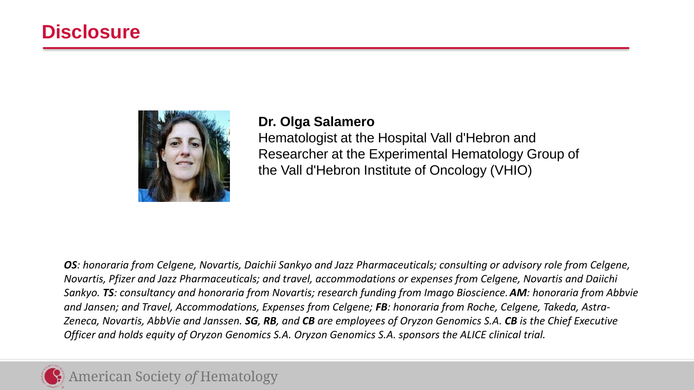## **Disclosure**



### **Dr. Olga Salamero**

Hematologist at the Hospital Vall d'Hebron and Researcher at the Experimental Hematology Group of the Vall d'Hebron Institute of Oncology (VHIO)

*OS: honoraria from Celgene, Novartis, Daichii Sankyo and Jazz Pharmaceuticals; consulting or advisory role from Celgene, Novartis, Pfizer and Jazz Pharmaceuticals; and travel, accommodations or expenses from Celgene, Novartis and Daiichi Sankyo. TS: consultancy and honoraria from Novartis; research funding from Imago Bioscience. AM: honoraria from Abbvie and Jansen; and Travel, Accommodations, Expenses from Celgene; FB: honoraria from Roche, Celgene, Takeda, Astra-Zeneca, Novartis, AbbVie and Janssen. SG, RB, and CB are employees of Oryzon Genomics S.A. CB is the Chief Executive Officer and holds equity of Oryzon Genomics S.A. Oryzon Genomics S.A. sponsors the ALICE clinical trial.*

## **American Society of Hematology**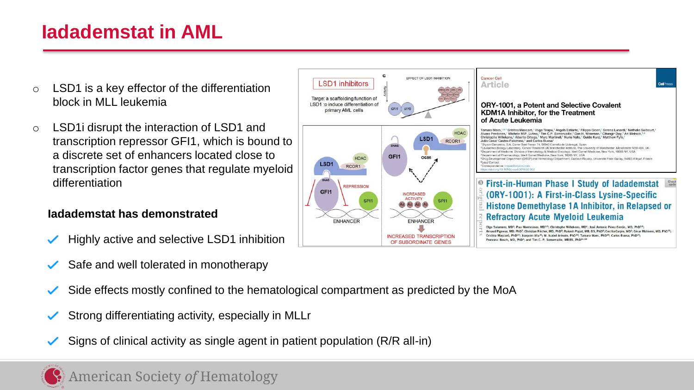## **Iadademstat in AML**

- $\circ$  LSD1 is a key effector of the differentiation block in MLL leukemia
- o LSD1i disrupt the interaction of LSD1 and transcription repressor GFI1, which is bound to a discrete set of enhancers located close to transcription factor genes that regulate myeloid differentiation

#### **Iadademstat has demonstrated**

- Highly active and selective LSD1 inhibition
- Safe and well tolerated in monotherapy
- Side effects mostly confined to the hematological compartment as predicted by the MoA
- Strong differentiating activity, especially in MLLr
- Signs of clinical activity as single agent in patient population (R/R all-in)



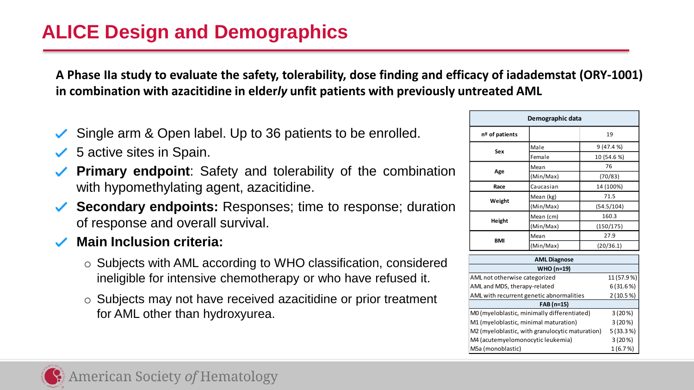## **ALICE Design and Demographics**

**A Phase IIa study to evaluate the safety, tolerability, dose finding and efficacy of iadademstat (ORY-1001) in combination with azacitidine in elder***ly* **unfit patients with previously untreated AML**

- Single arm & Open label. Up to 36 patients to be enrolled.
- $\checkmark$  5 active sites in Spain.
- **Primary endpoint**: Safety and tolerability of the combination with hypomethylating agent, azacitidine.
- **Secondary endpoints:** Responses; time to response; duration of response and overall survival.
- **Main Inclusion criteria:**
	- o Subjects with AML according to WHO classification, considered ineligible for intensive chemotherapy or who have refused it.
	- o Subjects may not have received azacitidine or prior treatment for AML other than hydroxyurea.

| Demographic data |           |             |  |  |  |
|------------------|-----------|-------------|--|--|--|
| nº of patients   |           | 19          |  |  |  |
| Sex              | Male      | 9(47.4%     |  |  |  |
|                  | Female    | 10 (54.6 %) |  |  |  |
| Age              | Mean      | 76          |  |  |  |
|                  | (Min/Max) | (70/83)     |  |  |  |
| Race             | Caucasian | 14 (100%)   |  |  |  |
| Weight           | Mean (kg) | 71.5        |  |  |  |
|                  | (Min/Max) | (54.5/104)  |  |  |  |
| Height           | Mean (cm) | 160.3       |  |  |  |
|                  | (Min/Max) | (150/175)   |  |  |  |
| <b>BMI</b>       | Mean      | 27.9        |  |  |  |
|                  | (Min/Max) | (20/36.1)   |  |  |  |

| <b>AML Diagnose</b>                             |            |  |  |  |  |
|-------------------------------------------------|------------|--|--|--|--|
| WHO (n=19)                                      |            |  |  |  |  |
| AML not otherwise categorized                   | 11 (57.9%) |  |  |  |  |
| AML and MDS, therapy-related                    | 6(31.6%)   |  |  |  |  |
| AML with recurrent genetic abnormalities        | 2(10.5%)   |  |  |  |  |
| FAB (n=15)                                      |            |  |  |  |  |
| M0 (myeloblastic, minimally differentiated)     | 3(20%)     |  |  |  |  |
| M1 (myeloblastic, minimal maturation)           | 3(20%)     |  |  |  |  |
| M2 (myeloblastic, with granulocytic maturation) | 5(33.3%)   |  |  |  |  |
| M4 (acutemyelomonocytic leukemia)               | 3(20%)     |  |  |  |  |
| M5a (monoblastic)                               | 1(6.7%)    |  |  |  |  |

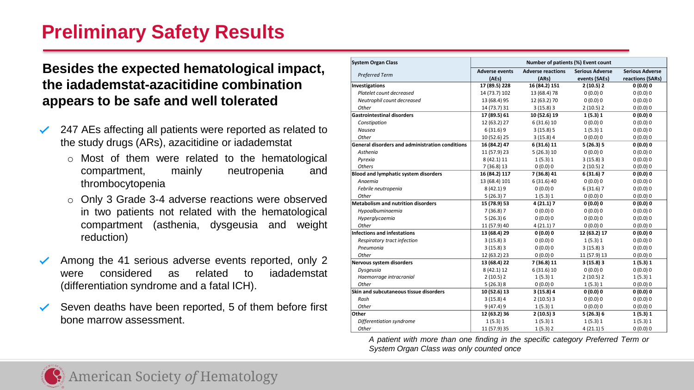## **Preliminary Safety Results**

#### **Besides the expected hematological impact, the iadademstat-azacitidine combination appears to be safe and well tolerated**

- 247 AEs affecting all patients were reported as related to  $\checkmark$ the study drugs (ARs), azacitidine or iadademstat
	- o Most of them were related to the hematological compartment, mainly neutropenia and thrombocytopenia
	- o Only 3 Grade 3-4 adverse reactions were observed in two patients not related with the hematological compartment (asthenia, dysgeusia and weight reduction)
- Among the 41 serious adverse events reported, only 2 ✓ were considered as related to iadademstat (differentiation syndrome and a fatal ICH).
- Seven deaths have been reported, 5 of them before first ✓ bone marrow assessment.

| <b>System Organ Class</b>                              | Number of patients (%) Event count                |               |                        |                        |  |
|--------------------------------------------------------|---------------------------------------------------|---------------|------------------------|------------------------|--|
| <b>Preferred Term</b>                                  | <b>Adverse reactions</b><br><b>Adverse events</b> |               | <b>Serious Adverse</b> | <b>Serious Adverse</b> |  |
|                                                        | (AEs)                                             | (ARS)         | events (SAEs)          | reactions (SARs)       |  |
| <b>Investigations</b>                                  | 17 (89.5) 228                                     | 16 (84.2) 151 | 2(10.5)2               | 0(0.0)0                |  |
| Platelet count decreased                               | 14 (73.7) 102                                     | 13 (68.4) 78  | 0(0.0)0                | 0(0.0)0                |  |
| Neutrophil count decreased                             | 13 (68.4) 95                                      | 12 (63.2) 70  | 0(0.0)0                | 0(0.0)0                |  |
| Other                                                  | 14 (73.7) 31                                      | 3(15.8)3      | 2(10.5)2               | 0(0.0)0                |  |
| <b>Gastrointestinal disorders</b>                      | 17 (89.5) 61                                      | 10 (52.6) 19  | 1(5.3)1                | 0(0.0)0                |  |
| Constipation                                           | 12 (63.2) 27                                      | 6(31.6)10     | 0(0.0)0                | 0(0.0)0                |  |
| Nausea                                                 | 6(31.6)9                                          | 3(15.8)5      | 1(5.3)1                | 0(0.0)0                |  |
| Other                                                  | 10 (52.6) 25                                      | 3(15.8)4      | 0(0.0)0                | 0(0.0)0                |  |
| <b>General disorders and administration conditions</b> | 16 (84.2) 47                                      | 6 (31.6) 11   | 5(26.3)5               | 0(0.0)0                |  |
| Asthenia                                               | 11 (57.9) 23                                      | 5(26.3)10     | 0(0.0)0                | 0(0.0)0                |  |
| Pyrexia                                                | 8 (42.1) 11                                       | 1(5.3)1       | 3(15.8)3               | 0(0.0)0                |  |
| <b>Others</b>                                          | 7(36.8)13                                         | 0(0.0)0       | 2(10.5)2               | 0(0.0)0                |  |
| <b>Blood and lymphatic system disorders</b>            | 16 (84.2) 117                                     | 7 (36.8) 41   | 6(31.6)7               | 0(0.0)0                |  |
| Anaemia                                                | 13 (68.4) 101                                     | 6(31.6)40     | 0(0.0)0                | 0(0.0)0                |  |
| Febrile neutropenia                                    | 8 (42.1) 9                                        | 0(0.0)0       | 6(31.6)7               | 0(0.0)0                |  |
| Other                                                  | 5(26.3)7                                          | 1(5.3)1       | 0(0.0)0                | 0(0.0)0                |  |
| <b>Metabolism and nutrition disorders</b>              | 15 (78.9) 53                                      | 4 (21.1) 7    | 0(0.0)0                | 0(0.0)0                |  |
| Hypoalbuminaemia                                       | 7(36.8)7                                          | 0(0.0)0       | 0(0.0)0                | 0(0.0)0                |  |
| Hyperglycaemia                                         | 5(26.3)6                                          | 0(0.0)0       | 0(0.0)0                | 0(0.0)0                |  |
| Other                                                  | 11 (57.9) 40                                      | 4(21.1)7      | 0(0.0)0                | 0(0.0)0                |  |
| Infections and infestations                            | 13 (68.4) 29                                      | 0(0.0)0       | 12 (63.2) 17           | 0(0.0)0                |  |
| Respiratory tract infection                            | 3(15.8)3                                          | 0(0.0)0       | 1(5.3)1                | 0(0.0)0                |  |
| Pneumonia                                              | 3(15.8)3                                          | 0(0.0)0       | 3(15.8)3               | 0(0.0)0                |  |
| Other                                                  | 12 (63.2) 23                                      | 0(0.0)0       | 11 (57.9) 13           | 0(0.0)0                |  |
| Nervous system disorders                               | 13 (68.4) 22                                      | 7 (36.8) 11   | 3(15.8)3               | 1(5.3)1                |  |
| Dysgeusia                                              | 8 (42.1) 12                                       | 6(31.6)10     | 0(0.0)0                | 0(0.0)0                |  |
| Haemorrage intracranial                                | 2(10.5)2                                          | 1(5.3)1       | 2(10.5)2               | 1(5.3)1                |  |
| Other                                                  | 5(26.3)8                                          | 0(0.0)0       | 1(5.3)1                | 0(0.0)0                |  |
| Skin and subcutaneous tissue disorders                 | 10 (52.6) 13                                      | 3(15.8)4      | 0(0.0)0                | 0(0.0)0                |  |
| Rash                                                   | 3(15.8)4                                          | 2(10.5)3      | 0(0.0)0                | 0(0.0)0                |  |
| Other                                                  | 9(47.4)9                                          | 1(5.3)1       | 0(0.0)0                | 0(0.0)0                |  |
| Other                                                  | 12 (63.2) 36                                      | 2(10.5)3      | 5(26.3)6               | 1(5.3)1                |  |
| Differentiation syndrome                               | 1(5.3)1                                           | 1(5.3)1       | 1(5.3)1                | 1(5.3)1                |  |
| Other                                                  | 11 (57.9) 35                                      | 1(5.3)2       | 4(21.1)5               | 0(0.0)0                |  |

*A patient with more than one finding in the specific category Preferred Term or System Organ Class was only counted once*

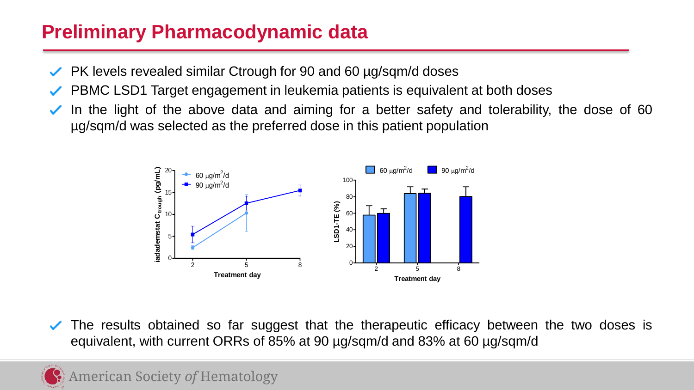# **Preliminary Pharmacodynamic data** 15 **ided**<br>dd<br>fr

- PK levels revealed similar Ctrough for 90 and 60 µg/sqm/d doses
- PBMC LSD1 Target engagement in leukemia patients is equivalent at both doses ✓
- In the light of the above data and aiming for a better safety and tolerability, the dose of 60 µg/sqm/d was selected as the preferred dose in this patient population **Treatment day**



The results obtained so far suggest that the therapeutic efficacy between the two doses is equivalent, with current ORRs of 85% at 90 µg/sqm/d and 83% at 60 µg/sqm/d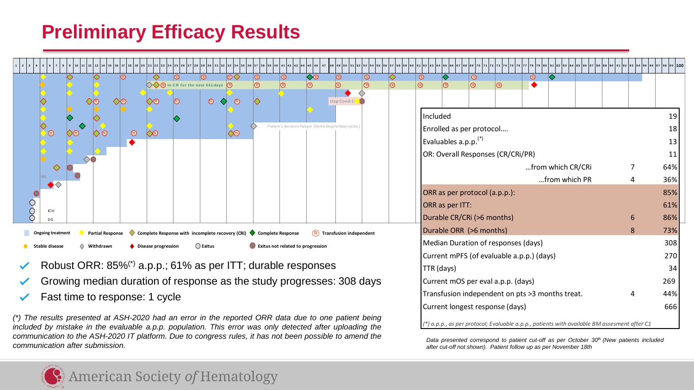

- Robust ORR: 85%(\*) a.p.p.; 61% as per ITT; durable responses
- Growing median duration of response as the study progresses: 308 days
- Fast time to response: 1 cycle

(\*) The results presented at ASH-2020 had an error in the reported ORR data due to one patient being *included by mistake in the evaluable a.p.p. population. This error was only detected after uploading the* communication to the ASH-2020 IT platform. Due to congress rules, it has not been possible to amend the *communication after submission.*

*Data presented correspond to patient cut-off as per October 30th (New patients included after cut-off not shown). Patient follow up as per November 18th* Current longest response (days) 666 *(\*) a.p.p., as per protocol; Evaluable a.p.p., patients with available BM assesment after C1*

Current mOS per eval a.p.p. (days) 269 Transfusion independent on pts >3 months treat. 4 44%